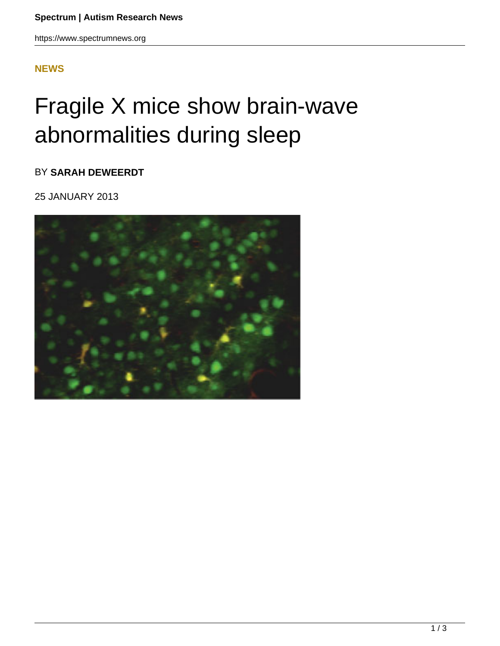## **[NEWS](HTTPS://WWW.SPECTRUMNEWS.ORG/NEWS/)**

## Fragile X mice show brain-wave abnormalities during sleep

BY **SARAH DEWEERDT**

25 JANUARY 2013

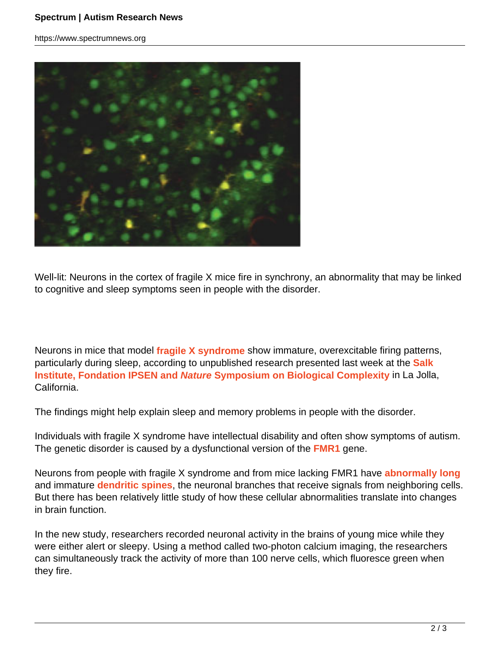https://www.spectrumnews.org



Well-lit: Neurons in the cortex of fragile X mice fire in synchrony, an abnormality that may be linked to cognitive and sleep symptoms seen in people with the disorder.

Neurons in mice that model **fragile X syndrome** show immature, overexcitable firing patterns, particularly during sleep, according to unpublished research presented last week at the **Salk Institute, Fondation IPSEN and Nature Symposium on Biological Complexity** in La Jolla, California.

The findings might help explain sleep and memory problems in people with the disorder.

Individuals with fragile X syndrome have intellectual disability and often show symptoms of autism. The genetic disorder is caused by a dysfunctional version of the **FMR1** gene.

Neurons from people with fragile X syndrome and from mice lacking FMR1 have **abnormally long** and immature **dendritic spines**, the neuronal branches that receive signals from neighboring cells. But there has been relatively little study of how these cellular abnormalities translate into changes in brain function.

In the new study, researchers recorded neuronal activity in the brains of young mice while they were either alert or sleepy. Using a method called two-photon calcium imaging, the researchers can simultaneously track the activity of more than 100 nerve cells, which fluoresce green when they fire.